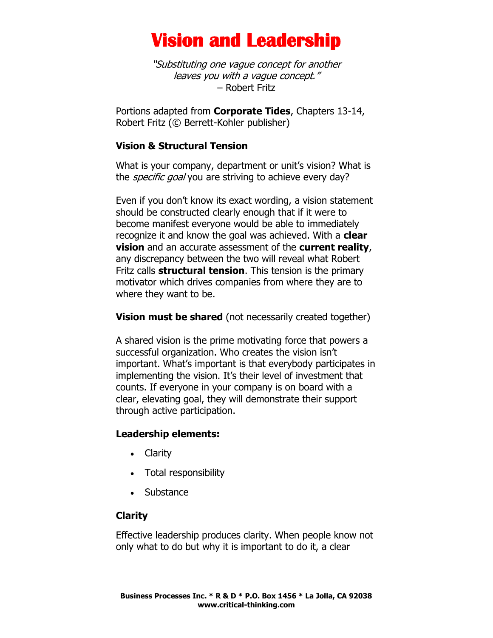"Substituting one vague concept for another leaves you with a vague concept." – Robert Fritz

Portions adapted from **Corporate Tides**, Chapters 13-14, Robert Fritz (© Berrett-Kohler publisher)

### **Vision & Structural Tension**

What is your company, department or unit's vision? What is the *specific goal* you are striving to achieve every day?

Even if you don't know its exact wording, a vision statement should be constructed clearly enough that if it were to become manifest everyone would be able to immediately recognize it and know the goal was achieved. With a **clear vision** and an accurate assessment of the **current reality**, any discrepancy between the two will reveal what Robert Fritz calls **structural tension**. This tension is the primary motivator which drives companies from where they are to where they want to be.

**Vision must be shared** (not necessarily created together)

A shared vision is the prime motivating force that powers a successful organization. Who creates the vision isn't important. What's important is that everybody participates in implementing the vision. It's their level of investment that counts. If everyone in your company is on board with a clear, elevating goal, they will demonstrate their support through active participation.

### **Leadership elements:**

- Clarity
- Total responsibility
- Substance

## **Clarity**

Effective leadership produces clarity. When people know not only what to do but why it is important to do it, a clear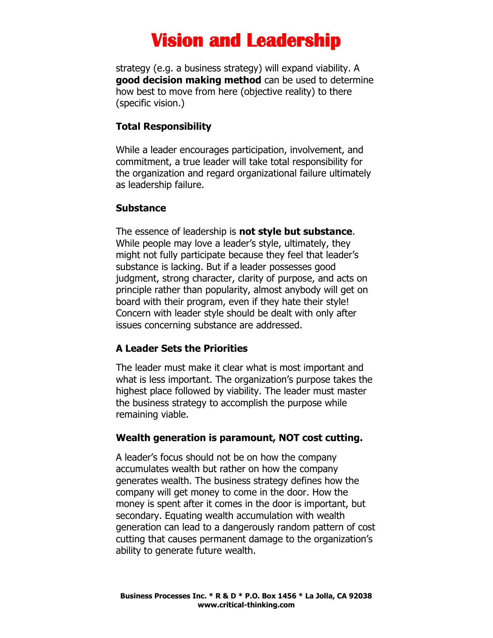strategy (e.g. a business strategy) will expand viability. A **good decision making method** can be used to determine how best to move from here (objective reality) to there (specific vision.)

#### **Total Responsibility**

While a leader encourages participation, involvement, and commitment, a true leader will take total responsibility for the organization and regard organizational failure ultimately as leadership failure.

#### **Substance**

The essence of leadership is **not style but substance**. While people may love a leader's style, ultimately, they might not fully participate because they feel that leader's substance is lacking. But if a leader possesses good judgment, strong character, clarity of purpose, and acts on principle rather than popularity, almost anybody will get on board with their program, even if they hate their style! Concern with leader style should be dealt with only after issues concerning substance are addressed.

### **A Leader Sets the Priorities**

The leader must make it clear what is most important and what is less important. The organization's purpose takes the highest place followed by viability. The leader must master the business strategy to accomplish the purpose while remaining viable.

#### **Wealth generation is paramount, NOT cost cutting.**

A leader's focus should not be on how the company accumulates wealth but rather on how the company generates wealth. The business strategy defines how the company will get money to come in the door. How the money is spent after it comes in the door is important, but secondary. Equating wealth accumulation with wealth generation can lead to a dangerously random pattern of cost cutting that causes permanent damage to the organization's ability to generate future wealth.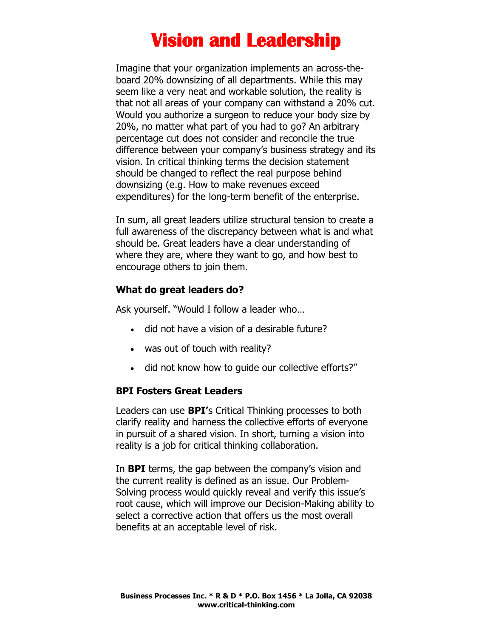Imagine that your organization implements an across-theboard 20% downsizing of all departments. While this may seem like a very neat and workable solution, the reality is that not all areas of your company can withstand a 20% cut. Would you authorize a surgeon to reduce your body size by 20%, no matter what part of you had to go? An arbitrary percentage cut does not consider and reconcile the true difference between your company's business strategy and its vision. In critical thinking terms the decision statement should be changed to reflect the real purpose behind downsizing (e.g. How to make revenues exceed expenditures) for the long-term benefit of the enterprise.

In sum, all great leaders utilize structural tension to create a full awareness of the discrepancy between what is and what should be. Great leaders have a clear understanding of where they are, where they want to go, and how best to encourage others to join them.

### **What do great leaders do?**

Ask yourself. "Would I follow a leader who…

- did not have a vision of a desirable future?
- was out of touch with reality?
- did not know how to guide our collective efforts?"

#### **BPI Fosters Great Leaders**

Leaders can use **BPI'**s Critical Thinking processes to both clarify reality and harness the collective efforts of everyone in pursuit of a shared vision. In short, turning a vision into reality is a job for critical thinking collaboration.

In **BPI** terms, the gap between the company's vision and the current reality is defined as an issue. Our Problem-Solving process would quickly reveal and verify this issue's root cause, which will improve our Decision-Making ability to select a corrective action that offers us the most overall benefits at an acceptable level of risk.